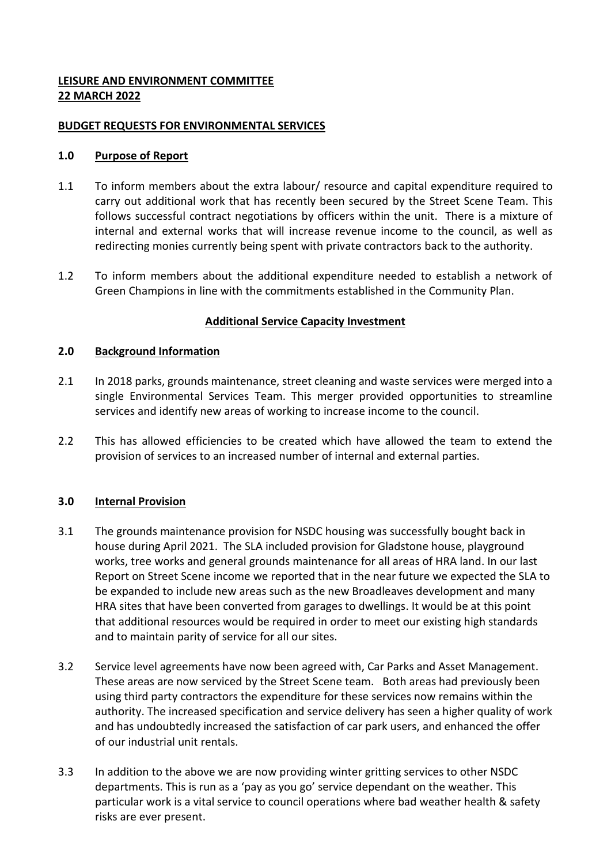## **LEISURE AND ENVIRONMENT COMMITTEE 22 MARCH 2022**

#### **BUDGET REQUESTS FOR ENVIRONMENTAL SERVICES**

#### **1.0 Purpose of Report**

- 1.1 To inform members about the extra labour/ resource and capital expenditure required to carry out additional work that has recently been secured by the Street Scene Team. This follows successful contract negotiations by officers within the unit. There is a mixture of internal and external works that will increase revenue income to the council, as well as redirecting monies currently being spent with private contractors back to the authority.
- 1.2 To inform members about the additional expenditure needed to establish a network of Green Champions in line with the commitments established in the Community Plan.

## **Additional Service Capacity Investment**

#### **2.0 Background Information**

- 2.1 In 2018 parks, grounds maintenance, street cleaning and waste services were merged into a single Environmental Services Team. This merger provided opportunities to streamline services and identify new areas of working to increase income to the council.
- 2.2 This has allowed efficiencies to be created which have allowed the team to extend the provision of services to an increased number of internal and external parties.

#### **3.0 Internal Provision**

- 3.1 The grounds maintenance provision for NSDC housing was successfully bought back in house during April 2021. The SLA included provision for Gladstone house, playground works, tree works and general grounds maintenance for all areas of HRA land. In our last Report on Street Scene income we reported that in the near future we expected the SLA to be expanded to include new areas such as the new Broadleaves development and many HRA sites that have been converted from garages to dwellings. It would be at this point that additional resources would be required in order to meet our existing high standards and to maintain parity of service for all our sites.
- 3.2 Service level agreements have now been agreed with, Car Parks and Asset Management. These areas are now serviced by the Street Scene team. Both areas had previously been using third party contractors the expenditure for these services now remains within the authority. The increased specification and service delivery has seen a higher quality of work and has undoubtedly increased the satisfaction of car park users, and enhanced the offer of our industrial unit rentals.
- 3.3 In addition to the above we are now providing winter gritting services to other NSDC departments. This is run as a 'pay as you go' service dependant on the weather. This particular work is a vital service to council operations where bad weather health & safety risks are ever present.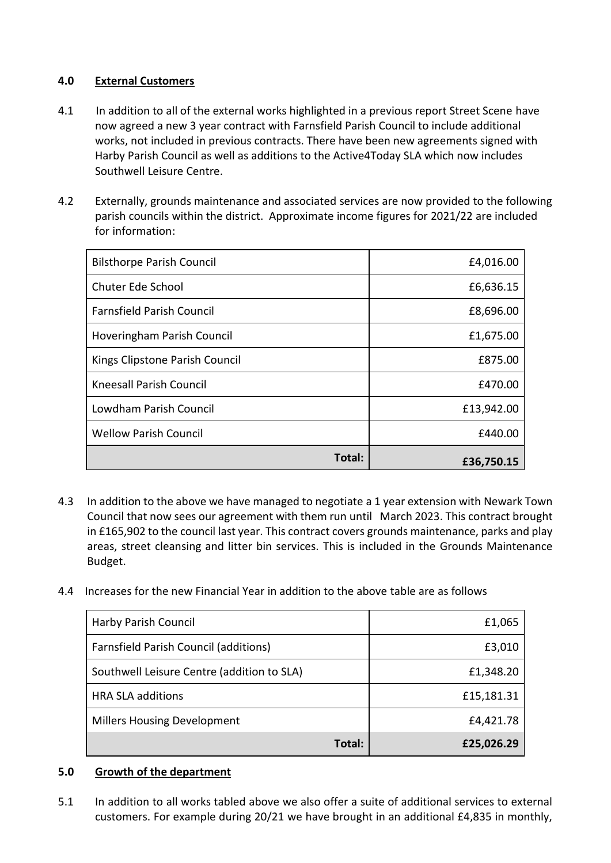## **4.0 External Customers**

- 4.1 In addition to all of the external works highlighted in a previous report Street Scene have now agreed a new 3 year contract with Farnsfield Parish Council to include additional works, not included in previous contracts. There have been new agreements signed with Harby Parish Council as well as additions to the Active4Today SLA which now includes Southwell Leisure Centre.
- 4.2 Externally, grounds maintenance and associated services are now provided to the following parish councils within the district. Approximate income figures for 2021/22 are included for information:

| <b>Bilsthorpe Parish Council</b> | £4,016.00  |
|----------------------------------|------------|
| Chuter Ede School                | £6,636.15  |
| <b>Farnsfield Parish Council</b> | £8,696.00  |
| Hoveringham Parish Council       | £1,675.00  |
| Kings Clipstone Parish Council   | £875.00    |
| <b>Kneesall Parish Council</b>   | £470.00    |
| Lowdham Parish Council           | £13,942.00 |
| <b>Wellow Parish Council</b>     | £440.00    |
| Total:                           | £36,750.15 |

- 4.3 In addition to the above we have managed to negotiate a 1 year extension with Newark Town Council that now sees our agreement with them run until March 2023. This contract brought in £165,902 to the council last year. This contract covers grounds maintenance, parks and play areas, street cleansing and litter bin services. This is included in the Grounds Maintenance Budget.
- 4.4 Increases for the new Financial Year in addition to the above table are as follows

| Harby Parish Council                       | £1,065     |
|--------------------------------------------|------------|
| Farnsfield Parish Council (additions)      | £3,010     |
| Southwell Leisure Centre (addition to SLA) | £1,348.20  |
| <b>HRA SLA additions</b>                   | £15,181.31 |
| <b>Millers Housing Development</b>         | £4,421.78  |
| Total:                                     | £25,026.29 |

## **5.0 Growth of the department**

5.1 In addition to all works tabled above we also offer a suite of additional services to external customers. For example during 20/21 we have brought in an additional £4,835 in monthly,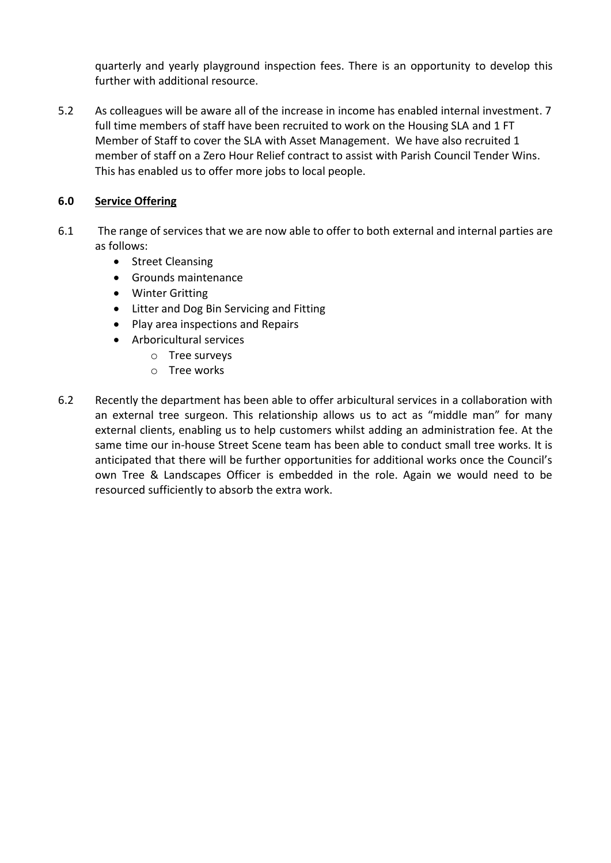quarterly and yearly playground inspection fees. There is an opportunity to develop this further with additional resource.

5.2 As colleagues will be aware all of the increase in income has enabled internal investment. 7 full time members of staff have been recruited to work on the Housing SLA and 1 FT Member of Staff to cover the SLA with Asset Management. We have also recruited 1 member of staff on a Zero Hour Relief contract to assist with Parish Council Tender Wins. This has enabled us to offer more jobs to local people.

## **6.0 Service Offering**

- 6.1 The range of services that we are now able to offer to both external and internal parties are as follows:
	- Street Cleansing
	- Grounds maintenance
	- Winter Gritting
	- Litter and Dog Bin Servicing and Fitting
	- Play area inspections and Repairs
	- Arboricultural services
		- o Tree surveys
			- o Tree works
- 6.2 Recently the department has been able to offer arbicultural services in a collaboration with an external tree surgeon. This relationship allows us to act as "middle man" for many external clients, enabling us to help customers whilst adding an administration fee. At the same time our in-house Street Scene team has been able to conduct small tree works. It is anticipated that there will be further opportunities for additional works once the Council's own Tree & Landscapes Officer is embedded in the role. Again we would need to be resourced sufficiently to absorb the extra work.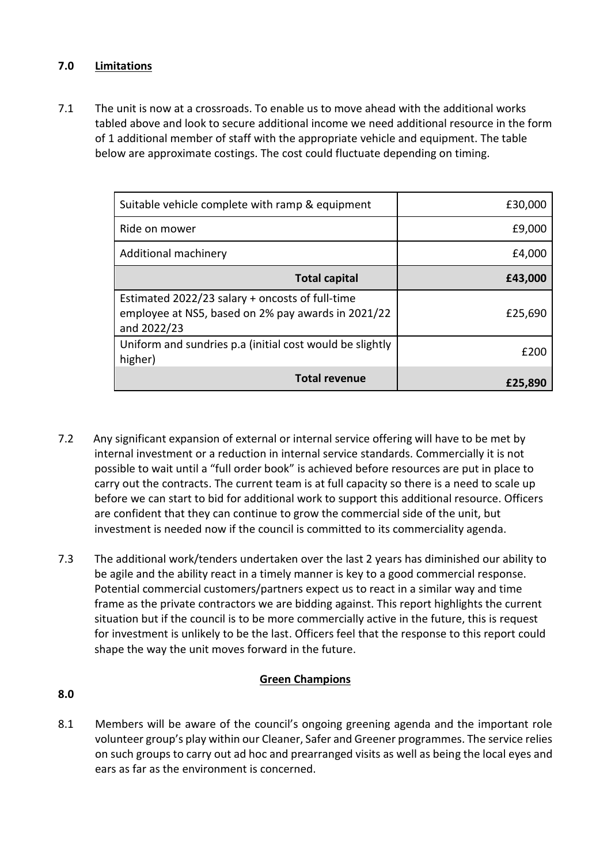# **7.0 Limitations**

7.1 The unit is now at a crossroads. To enable us to move ahead with the additional works tabled above and look to secure additional income we need additional resource in the form of 1 additional member of staff with the appropriate vehicle and equipment. The table below are approximate costings. The cost could fluctuate depending on timing.

| Suitable vehicle complete with ramp & equipment                                                                      | £30,000 |
|----------------------------------------------------------------------------------------------------------------------|---------|
| Ride on mower                                                                                                        | £9,000  |
| Additional machinery                                                                                                 | £4,000  |
| <b>Total capital</b>                                                                                                 | £43,000 |
| Estimated 2022/23 salary + oncosts of full-time<br>employee at NS5, based on 2% pay awards in 2021/22<br>and 2022/23 | £25,690 |
| Uniform and sundries p.a (initial cost would be slightly<br>higher)                                                  | £200    |
| <b>Total revenue</b>                                                                                                 | £25,890 |

- 7.2 Any significant expansion of external or internal service offering will have to be met by internal investment or a reduction in internal service standards. Commercially it is not possible to wait until a "full order book" is achieved before resources are put in place to carry out the contracts. The current team is at full capacity so there is a need to scale up before we can start to bid for additional work to support this additional resource. Officers are confident that they can continue to grow the commercial side of the unit, but investment is needed now if the council is committed to its commerciality agenda.
- 7.3 The additional work/tenders undertaken over the last 2 years has diminished our ability to be agile and the ability react in a timely manner is key to a good commercial response. Potential commercial customers/partners expect us to react in a similar way and time frame as the private contractors we are bidding against. This report highlights the current situation but if the council is to be more commercially active in the future, this is request for investment is unlikely to be the last. Officers feel that the response to this report could shape the way the unit moves forward in the future.

## **Green Champions**

## **8.0**

8.1 Members will be aware of the council's ongoing greening agenda and the important role volunteer group's play within our Cleaner, Safer and Greener programmes. The service relies on such groups to carry out ad hoc and prearranged visits as well as being the local eyes and ears as far as the environment is concerned.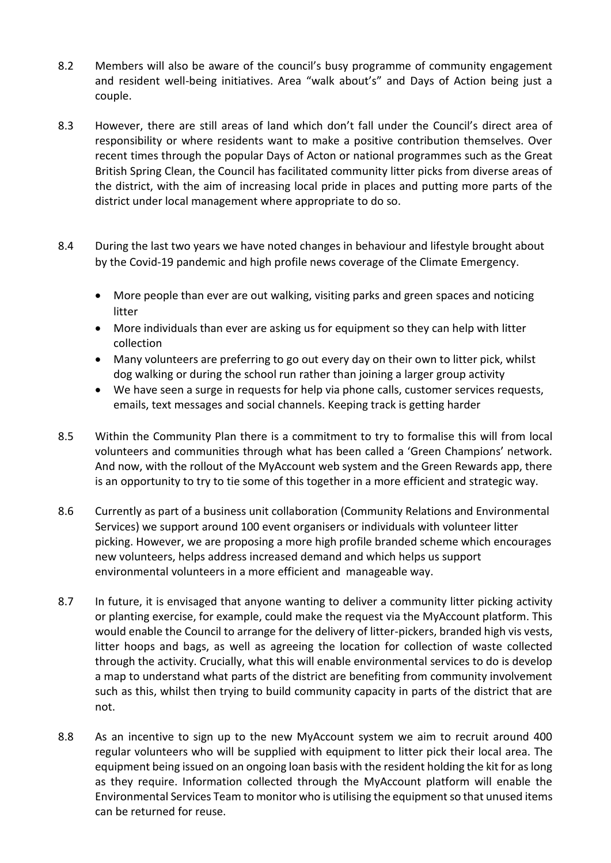- 8.2 Members will also be aware of the council's busy programme of community engagement and resident well-being initiatives. Area "walk about's" and Days of Action being just a couple.
- 8.3 However, there are still areas of land which don't fall under the Council's direct area of responsibility or where residents want to make a positive contribution themselves. Over recent times through the popular Days of Acton or national programmes such as the Great British Spring Clean, the Council has facilitated community litter picks from diverse areas of the district, with the aim of increasing local pride in places and putting more parts of the district under local management where appropriate to do so.
- 8.4 During the last two years we have noted changes in behaviour and lifestyle brought about by the Covid-19 pandemic and high profile news coverage of the Climate Emergency.
	- More people than ever are out walking, visiting parks and green spaces and noticing litter
	- More individuals than ever are asking us for equipment so they can help with litter collection
	- Many volunteers are preferring to go out every day on their own to litter pick, whilst dog walking or during the school run rather than joining a larger group activity
	- We have seen a surge in requests for help via phone calls, customer services requests, emails, text messages and social channels. Keeping track is getting harder
- 8.5 Within the Community Plan there is a commitment to try to formalise this will from local volunteers and communities through what has been called a 'Green Champions' network. And now, with the rollout of the MyAccount web system and the Green Rewards app, there is an opportunity to try to tie some of this together in a more efficient and strategic way.
- 8.6 Currently as part of a business unit collaboration (Community Relations and Environmental Services) we support around 100 event organisers or individuals with volunteer litter picking. However, we are proposing a more high profile branded scheme which encourages new volunteers, helps address increased demand and which helps us support environmental volunteers in a more efficient and manageable way.
- 8.7 In future, it is envisaged that anyone wanting to deliver a community litter picking activity or planting exercise, for example, could make the request via the MyAccount platform. This would enable the Council to arrange for the delivery of litter-pickers, branded high vis vests, litter hoops and bags, as well as agreeing the location for collection of waste collected through the activity. Crucially, what this will enable environmental services to do is develop a map to understand what parts of the district are benefiting from community involvement such as this, whilst then trying to build community capacity in parts of the district that are not.
- 8.8 As an incentive to sign up to the new MyAccount system we aim to recruit around 400 regular volunteers who will be supplied with equipment to litter pick their local area. The equipment being issued on an ongoing loan basis with the resident holding the kit for as long as they require. Information collected through the MyAccount platform will enable the Environmental Services Team to monitor who is utilising the equipment so that unused items can be returned for reuse.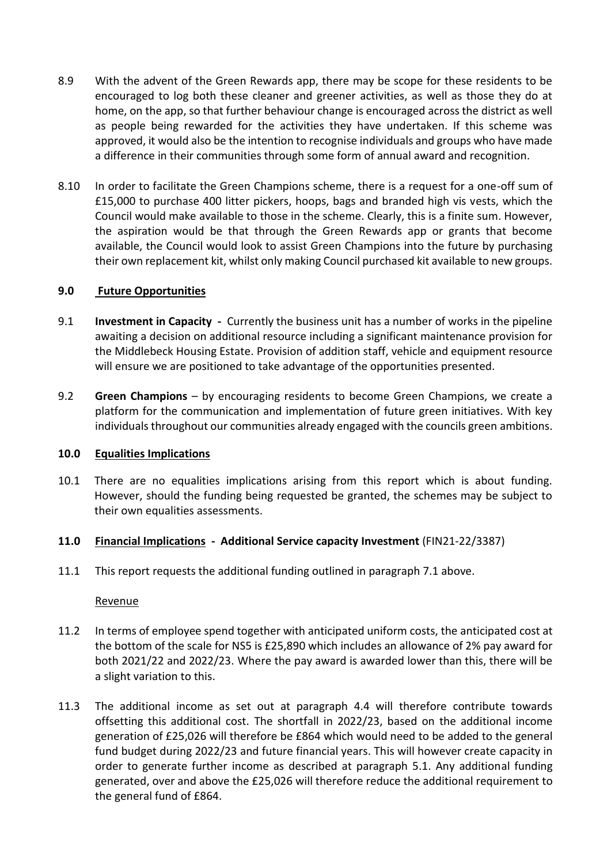- 8.9 With the advent of the Green Rewards app, there may be scope for these residents to be encouraged to log both these cleaner and greener activities, as well as those they do at home, on the app, so that further behaviour change is encouraged across the district as well as people being rewarded for the activities they have undertaken. If this scheme was approved, it would also be the intention to recognise individuals and groups who have made a difference in their communities through some form of annual award and recognition.
- 8.10 In order to facilitate the Green Champions scheme, there is a request for a one-off sum of £15,000 to purchase 400 litter pickers, hoops, bags and branded high vis vests, which the Council would make available to those in the scheme. Clearly, this is a finite sum. However, the aspiration would be that through the Green Rewards app or grants that become available, the Council would look to assist Green Champions into the future by purchasing their own replacement kit, whilst only making Council purchased kit available to new groups.

#### **9.0 Future Opportunities**

- 9.1 **Investment in Capacity -** Currently the business unit has a number of works in the pipeline awaiting a decision on additional resource including a significant maintenance provision for the Middlebeck Housing Estate. Provision of addition staff, vehicle and equipment resource will ensure we are positioned to take advantage of the opportunities presented.
- 9.2 **Green Champions** by encouraging residents to become Green Champions, we create a platform for the communication and implementation of future green initiatives. With key individuals throughout our communities already engaged with the councils green ambitions.

#### **10.0 Equalities Implications**

10.1 There are no equalities implications arising from this report which is about funding. However, should the funding being requested be granted, the schemes may be subject to their own equalities assessments.

## **11.0 Financial Implications - Additional Service capacity Investment** (FIN21-22/3387)

11.1 This report requests the additional funding outlined in paragraph 7.1 above.

#### Revenue

- 11.2 In terms of employee spend together with anticipated uniform costs, the anticipated cost at the bottom of the scale for NS5 is £25,890 which includes an allowance of 2% pay award for both 2021/22 and 2022/23. Where the pay award is awarded lower than this, there will be a slight variation to this.
- 11.3 The additional income as set out at paragraph 4.4 will therefore contribute towards offsetting this additional cost. The shortfall in 2022/23, based on the additional income generation of £25,026 will therefore be £864 which would need to be added to the general fund budget during 2022/23 and future financial years. This will however create capacity in order to generate further income as described at paragraph 5.1. Any additional funding generated, over and above the £25,026 will therefore reduce the additional requirement to the general fund of £864.